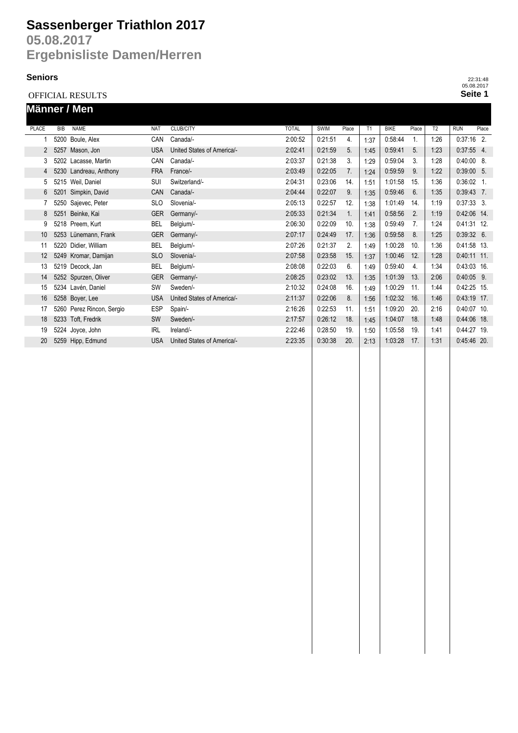# **Sassenberger Triathlon 2017**

**05.08.2017 Ergebnisliste Damen/Herren**

#### **Seniors**

OFFICIAL RESULTS

|              |            | Männer / Men              |            |                            |              |             |       |      |             |                |      |               |       |
|--------------|------------|---------------------------|------------|----------------------------|--------------|-------------|-------|------|-------------|----------------|------|---------------|-------|
| <b>PLACE</b> | <b>BIB</b> | <b>NAME</b>               | <b>NAT</b> | <b>CLUB/CITY</b>           | <b>TOTAL</b> | <b>SWIM</b> | Place | T1   | <b>BIKE</b> | Place          | T2   | <b>RUN</b>    | Place |
|              |            | 5200 Boule, Alex          | CAN        | Canada/-                   | 2:00:52      | 0.21:51     | 4.    | 1:37 | 0:58:44     | 1.             | 1:26 | $0:37:16$ 2.  |       |
|              | 5257<br>2  | Mason, Jon                | <b>USA</b> | United States of America/- | 2:02:41      | 0:21:59     | 5.    | 1:45 | 0.59.41     | 5.             | 1:23 | $0:37:55$ 4.  |       |
| 3            |            | 5202 Lacasse, Martin      | CAN        | Canada/-                   | 2:03:37      | 0:21:38     | 3.    | 1:29 | 0.59.04     | 3.             | 1:28 | $0:40:00 8$ . |       |
| 4            |            | 5230 Landreau, Anthony    | <b>FRA</b> | France/-                   | 2:03:49      | 0:22:05     | 7.    | 1:24 | 0:59:59     | 9.             | 1:22 | $0:39:00$ 5.  |       |
| 5            |            | 5215 Weil, Daniel         | SUI        | Switzerland/-              | 2:04:31      | 0:23:06     | 14.   | 1:51 | 1:01:58     | 15.            | 1:36 | $0:36:02$ 1.  |       |
| 6            |            | 5201 Simpkin, David       | CAN        | Canada/-                   | 2:04:44      | 0:22:07     | 9.    | 1:35 | 0.59.46     | 6.             | 1:35 | $0:39:43$ 7.  |       |
|              |            | 5250 Sajevec, Peter       | <b>SLO</b> | Slovenia/-                 | 2:05:13      | 0:22:57     | 12.   | 1:38 | 1:01:49     | 14.            | 1:19 | $0:37:33$ 3.  |       |
| 8            |            | 5251 Beinke, Kai          | <b>GER</b> | Germany/-                  | 2:05:33      | 0:21:34     | 1.    | 1:41 | 0:58:56     | 2.             | 1:19 | 0:42:06 14.   |       |
| 9            |            | 5218 Preem, Kurt          | BEL        | Belgium/-                  | 2:06:30      | 0:22:09     | 10.   | 1:38 | 0:59:49     | 7 <sub>1</sub> | 1:24 | $0:41:31$ 12. |       |
| 10           |            | 5253 Lünemann, Frank      | <b>GER</b> | Germany/-                  | 2:07:17      | 0:24:49     | 17.   | 1:36 | 0.59.58     | 8.             | 1:25 | $0:39:32$ 6.  |       |
| 11           |            | 5220 Didier, William      | <b>BEL</b> | Belgium/-                  | 2:07:26      | 0:21:37     | 2.    | 1:49 | 1:00:28     | 10.            | 1:36 | 0:41:58 13.   |       |
| 12           |            | 5249 Kromar, Damijan      | <b>SLO</b> | Slovenia/-                 | 2:07:58      | 0.23.58     | 15.   | 1:37 | 1:00:46     | 12.            | 1:28 | 0:40:11 11.   |       |
| 13           |            | 5219 Decock, Jan          | <b>BEL</b> | Belgium/-                  | 2:08:08      | 0:22:03     | 6.    | 1:49 | 0.59.40     | 4.             | 1:34 | $0:43:03$ 16. |       |
| 14           |            | 5252 Spurzen, Oliver      | <b>GER</b> | Germany/-                  | 2:08:25      | 0:23:02     | 13.   | 1:35 | 1:01:39     | 13.            | 2:06 | $0:40:05$ 9.  |       |
| 15           |            | 5234 Lavén, Daniel        | <b>SW</b>  | Sweden/-                   | 2:10:32      | 0:24:08     | 16.   | 1:49 | 1:00:29     | 11.            | 1:44 | $0:42:25$ 15. |       |
| 16           |            | 5258 Boyer, Lee           | <b>USA</b> | United States of America/- | 2:11:37      | 0:22:06     | 8.    | 1:56 | 1:02:32     | 16.            | 1:46 | 0:43:19 17.   |       |
| 17           |            | 5260 Perez Rincon, Sergio | <b>ESP</b> | Spain/-                    | 2:16:26      | 0:22:53     | 11.   | 1:51 | 1:09:20     | 20.            | 2:16 | 0:40:07 10.   |       |
| 18           |            | 5233 Toft, Fredrik        | <b>SW</b>  | Sweden/-                   | 2:17:57      | 0.26:12     | 18.   | 1:45 | 1:04:07     | 18.            | 1:48 | 0:44:06 18.   |       |
| 19           |            | 5224 Joyce, John          | <b>IRL</b> | Ireland/-                  | 2:22:46      | 0:28:50     | 19.   | 1:50 | 1:05:58     | 19.            | 1:41 | 0:44:27 19.   |       |
| 20           |            | 5259 Hipp, Edmund         | <b>USA</b> | United States of America/- | 2:23:35      | 0:30:38     | 20.   | 2:13 | 1:03:28     | 17.            | 1:31 | 0:45:46 20.   |       |

**Seite 1** 22:31:48 05.08.2017